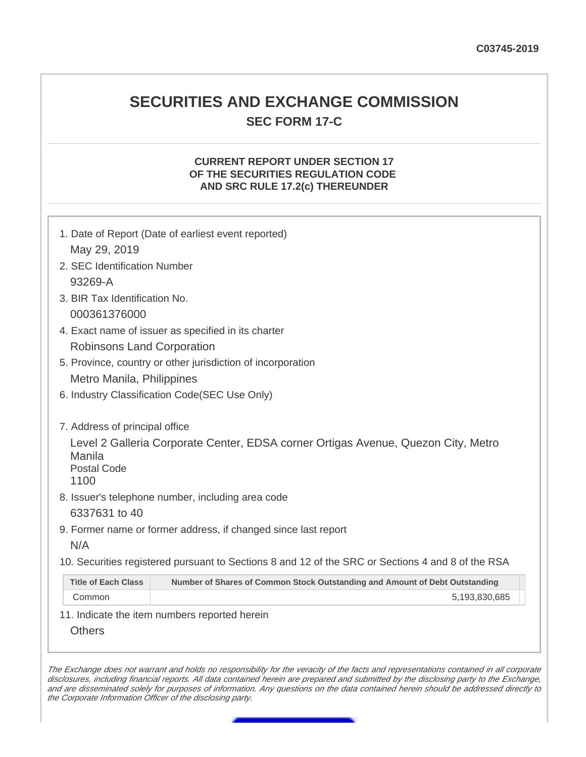# **SECURITIES AND EXCHANGE COMMISSION SEC FORM 17-C**

## **CURRENT REPORT UNDER SECTION 17 OF THE SECURITIES REGULATION CODE AND SRC RULE 17.2(c) THEREUNDER**

| 1. Date of Report (Date of earliest event reported)                                                                                                                                                              |  |  |  |  |
|------------------------------------------------------------------------------------------------------------------------------------------------------------------------------------------------------------------|--|--|--|--|
| May 29, 2019                                                                                                                                                                                                     |  |  |  |  |
| 2. SEC Identification Number                                                                                                                                                                                     |  |  |  |  |
| 93269-A                                                                                                                                                                                                          |  |  |  |  |
| 3. BIR Tax Identification No.                                                                                                                                                                                    |  |  |  |  |
| 000361376000                                                                                                                                                                                                     |  |  |  |  |
| 4. Exact name of issuer as specified in its charter                                                                                                                                                              |  |  |  |  |
| <b>Robinsons Land Corporation</b>                                                                                                                                                                                |  |  |  |  |
| 5. Province, country or other jurisdiction of incorporation                                                                                                                                                      |  |  |  |  |
| Metro Manila, Philippines                                                                                                                                                                                        |  |  |  |  |
| 6. Industry Classification Code(SEC Use Only)                                                                                                                                                                    |  |  |  |  |
| 7. Address of principal office<br>Level 2 Galleria Corporate Center, EDSA corner Ortigas Avenue, Quezon City, Metro<br>Manila<br><b>Postal Code</b><br>1100<br>8. Issuer's telephone number, including area code |  |  |  |  |
| 6337631 to 40                                                                                                                                                                                                    |  |  |  |  |
| 9. Former name or former address, if changed since last report<br>N/A                                                                                                                                            |  |  |  |  |
|                                                                                                                                                                                                                  |  |  |  |  |
| 10. Securities registered pursuant to Sections 8 and 12 of the SRC or Sections 4 and 8 of the RSA                                                                                                                |  |  |  |  |
| <b>Title of Each Class</b><br>Number of Shares of Common Stock Outstanding and Amount of Debt Outstanding                                                                                                        |  |  |  |  |
| Common<br>5,193,830,685                                                                                                                                                                                          |  |  |  |  |
| 11. Indicate the item numbers reported herein                                                                                                                                                                    |  |  |  |  |
| <b>Others</b>                                                                                                                                                                                                    |  |  |  |  |

The Exchange does not warrant and holds no responsibility for the veracity of the facts and representations contained in all corporate disclosures, including financial reports. All data contained herein are prepared and submitted by the disclosing party to the Exchange, and are disseminated solely for purposes of information. Any questions on the data contained herein should be addressed directly to the Corporate Information Officer of the disclosing party.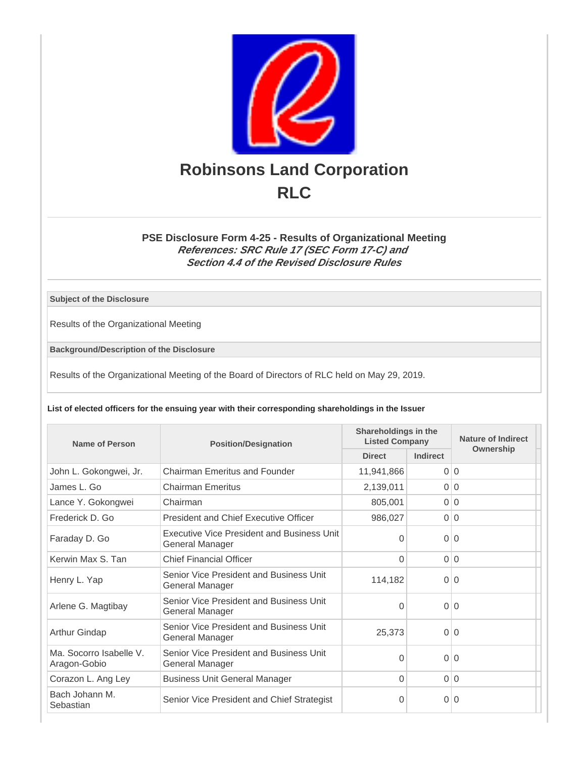

### **PSE Disclosure Form 4-25 - Results of Organizational Meeting References: SRC Rule 17 (SEC Form 17-C) and Section 4.4 of the Revised Disclosure Rules**

**Subject of the Disclosure**

Results of the Organizational Meeting

**Background/Description of the Disclosure**

Results of the Organizational Meeting of the Board of Directors of RLC held on May 29, 2019.

**List of elected officers for the ensuing year with their corresponding shareholdings in the Issuer**

| Name of Person                          | Shareholdings in the<br><b>Listed Company</b><br><b>Position/Designation</b> |               | Nature of Indirect |           |
|-----------------------------------------|------------------------------------------------------------------------------|---------------|--------------------|-----------|
|                                         |                                                                              | <b>Direct</b> | Indirect           | Ownership |
| John L. Gokongwei, Jr.                  | Chairman Emeritus and Founder                                                | 11,941,866    |                    | 0 0       |
| James L. Go                             | <b>Chairman Emeritus</b>                                                     | 2,139,011     |                    | 0 0       |
| Lance Y. Gokongwei                      | Chairman                                                                     | 805,001       |                    | 0 0       |
| Frederick D. Go                         | <b>President and Chief Executive Officer</b>                                 | 986,027       |                    | 0 0       |
| Faraday D. Go                           | Executive Vice President and Business Unit<br>General Manager                | $\Omega$      |                    | 0 0       |
| Kerwin Max S. Tan                       | <b>Chief Financial Officer</b>                                               | $\Omega$      |                    | 0 0       |
| Henry L. Yap                            | Senior Vice President and Business Unit<br>General Manager                   | 114,182       |                    | 0 0       |
| Arlene G. Magtibay                      | Senior Vice President and Business Unit<br>General Manager                   | $\Omega$      |                    | 0 0       |
| Arthur Gindap                           | Senior Vice President and Business Unit<br>General Manager                   | 25,373        |                    | 0 0       |
| Ma. Socorro Isabelle V.<br>Aragon-Gobio | Senior Vice President and Business Unit<br>General Manager                   | $\Omega$      |                    | 0 0       |
| Corazon L. Ang Ley                      | <b>Business Unit General Manager</b>                                         | $\Omega$      |                    | 0 0       |
| Bach Johann M.<br>Sebastian             | Senior Vice President and Chief Strategist                                   | 0             |                    | 0 0       |